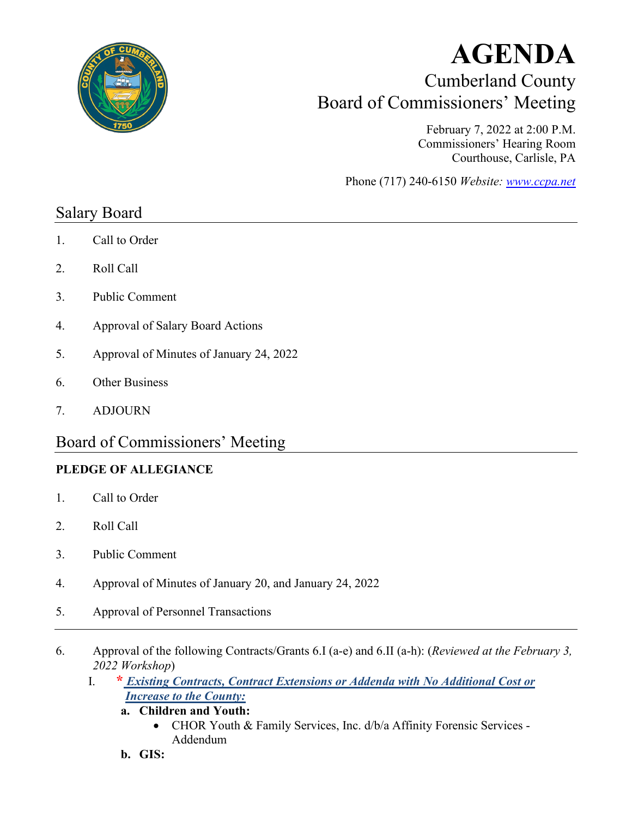

# **AGENDA** Cumberland County Board of Commissioners' Meeting

February 7, 2022 at 2:00 P.M. Commissioners' Hearing Room Courthouse, Carlisle, PA

Phone (717) 240-6150 *Website: [www.ccpa.net](http://www.ccpa.net/)*

# Salary Board

- 1. Call to Order
- 2. Roll Call
- 3. Public Comment
- 4. Approval of Salary Board Actions
- 5. Approval of Minutes of January 24, 2022
- 6. Other Business
- 7. ADJOURN

# Board of Commissioners' Meeting

#### **PLEDGE OF ALLEGIANCE**

- 1. Call to Order
- 2. Roll Call
- 3. Public Comment
- 4. Approval of Minutes of January 20, and January 24, 2022
- 5. Approval of Personnel Transactions
- 6. Approval of the following Contracts/Grants 6.I (a-e) and 6.II (a-h): (*Reviewed at the February 3, 2022 Workshop*)
	- I. **\*** *Existing Contracts, Contract Extensions or Addenda with No Additional Cost or Increase to the County:*
		- **a. Children and Youth:**
			- CHOR Youth & Family Services, Inc. d/b/a Affinity Forensic Services Addendum
		- **b. GIS:**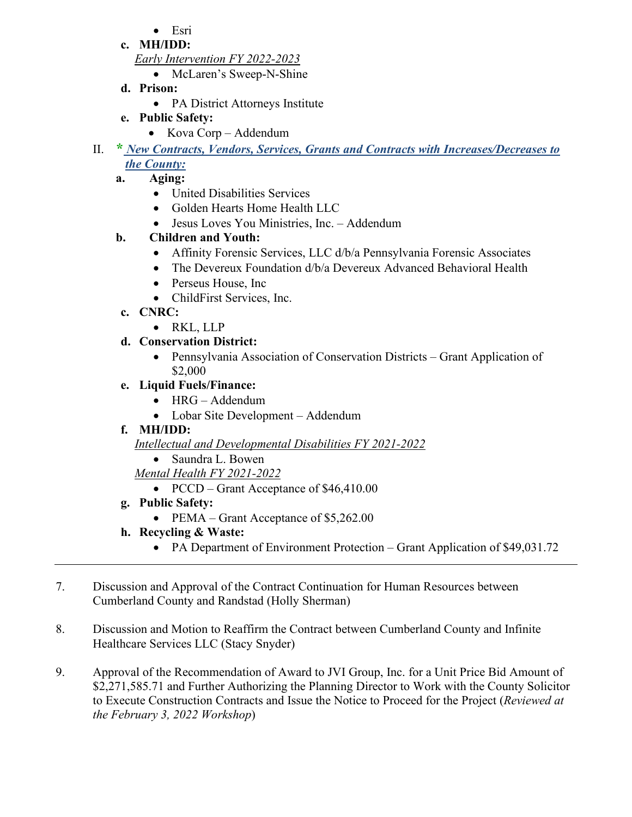- Esri
- **c. MH/IDD:**

*Early Intervention FY 2022-2023*

- McLaren's Sweep-N-Shine
- **d. Prison:** 
	- PA District Attorneys Institute
- **e. Public Safety:**
	- Kova Corp Addendum
- II. **\*** *New Contracts, Vendors, Services, Grants and Contracts with Increases/Decreases to the County:*
	- **a. Aging:** 
		- United Disabilities Services
		- Golden Hearts Home Health LLC
		- Jesus Loves You Ministries, Inc. Addendum

## **b. Children and Youth:**

- Affinity Forensic Services, LLC d/b/a Pennsylvania Forensic Associates
- The Devereux Foundation d/b/a Devereux Advanced Behavioral Health
- Perseus House, Inc
- ChildFirst Services, Inc.
- **c. CNRC:** 
	- RKL, LLP
- **d. Conservation District:** 
	- Pennsylvania Association of Conservation Districts Grant Application of \$2,000

## **e. Liquid Fuels/Finance:**

- HRG Addendum
- Lobar Site Development Addendum

## **f. MH/IDD:**

*Intellectual and Developmental Disabilities FY 2021-2022*

- Saundra L. Bowen
- *Mental Health FY 2021-2022*
	- PCCD Grant Acceptance of \$46,410.00
- **g. Public Safety:** 
	- PEMA Grant Acceptance of \$5,262.00
- **h. Recycling & Waste:**
	- PA Department of Environment Protection Grant Application of \$49,031.72
- 7. Discussion and Approval of the Contract Continuation for Human Resources between Cumberland County and Randstad (Holly Sherman)
- 8. Discussion and Motion to Reaffirm the Contract between Cumberland County and Infinite Healthcare Services LLC (Stacy Snyder)
- 9. Approval of the Recommendation of Award to JVI Group, Inc. for a Unit Price Bid Amount of \$2,271,585.71 and Further Authorizing the Planning Director to Work with the County Solicitor to Execute Construction Contracts and Issue the Notice to Proceed for the Project (*Reviewed at the February 3, 2022 Workshop*)